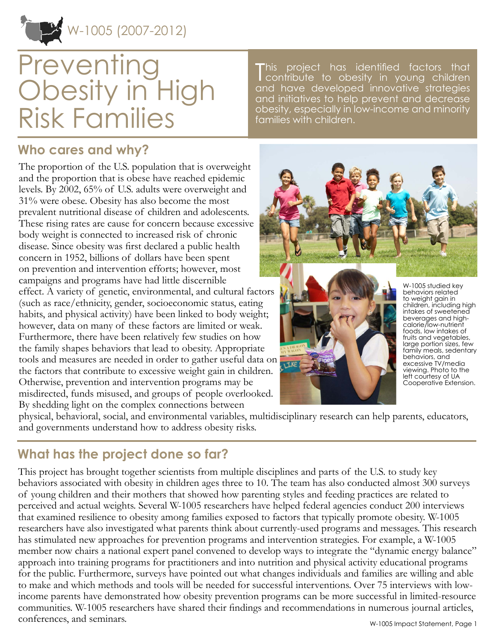W-1005 (2007-2012)

# **Preventing** Obesity in High Risk Families

### **Who cares and why?**

The proportion of the U.S. population that is overweight and the proportion that is obese have reached epidemic levels. By 2002, 65% of U.S. adults were overweight and 31% were obese. Obesity has also become the most prevalent nutritional disease of children and adolescents. These rising rates are cause for concern because excessive body weight is connected to increased risk of chronic disease. Since obesity was first declared a public health concern in 1952, billions of dollars have been spent on prevention and intervention efforts; however, most campaigns and programs have had little discernible effect. A variety of genetic, environmental, and cultural factors (such as race/ethnicity, gender, socioeconomic status, eating habits, and physical activity) have been linked to body weight; however, data on many of these factors are limited or weak. Furthermore, there have been relatively few studies on how the family shapes behaviors that lead to obesity. Appropriate tools and measures are needed in order to gather useful data on the factors that contribute to excessive weight gain in children. Otherwise, prevention and intervention programs may be misdirected, funds misused, and groups of people overlooked. By shedding light on the complex connections between

This a project has identified factors that contribute to obesity in young children and have developed innovative strategies and initiatives to help prevent and decrease obesity, especially in low-income and minority families with children.





W-1005 studied key behaviors related to weight gain in children, including high intakes of sweetened beverages and highcalorie/low-nutrient foods, low intakes of fruits and vegetables, large portion sizes, few family meals, sedentary behaviors, and excessive TV/media viewing. Photo to the left courtesy of UA Cooperative Extension.

physical, behavioral, social, and environmental variables, multidisciplinary research can help parents, educators, and governments understand how to address obesity risks.

# **What has the project done so far?**

This project has brought together scientists from multiple disciplines and parts of the U.S. to study key behaviors associated with obesity in children ages three to 10. The team has also conducted almost 300 surveys of young children and their mothers that showed how parenting styles and feeding practices are related to perceived and actual weights. Several W-1005 researchers have helped federal agencies conduct 200 interviews that examined resilience to obesity among families exposed to factors that typically promote obesity. W-1005 researchers have also investigated what parents think about currently-used programs and messages. This research has stimulated new approaches for prevention programs and intervention strategies. For example, a W-1005 member now chairs a national expert panel convened to develop ways to integrate the "dynamic energy balance" approach into training programs for practitioners and into nutrition and physical activity educational programs for the public. Furthermore, surveys have pointed out what changes individuals and families are willing and able to make and which methods and tools will be needed for successful interventions. Over 75 interviews with lowincome parents have demonstrated how obesity prevention programs can be more successful in limited-resource communities. W-1005 researchers have shared their findings and recommendations in numerous journal articles, conferences, and seminars.